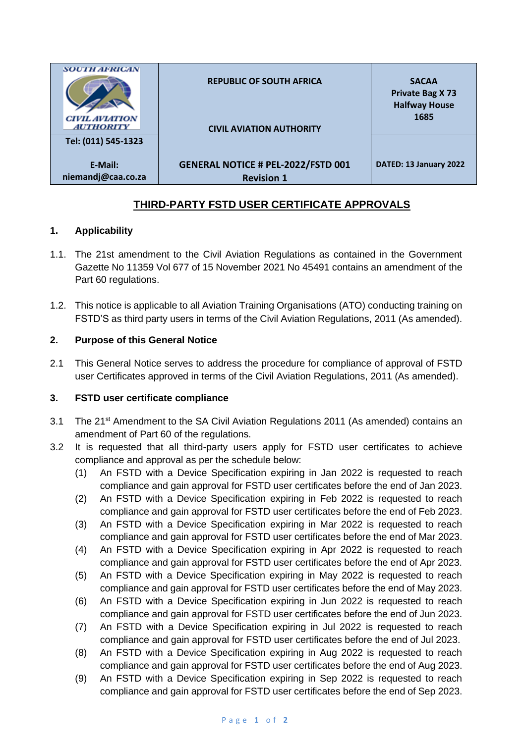| <b>SOUTH AFRICAN</b><br><b>CIVIL AVIATION</b>                            | <b>REPUBLIC OF SOUTH AFRICA</b>                                                                   | <b>SACAA</b><br><b>Private Bag X73</b><br><b>Halfway House</b><br>1685 |
|--------------------------------------------------------------------------|---------------------------------------------------------------------------------------------------|------------------------------------------------------------------------|
| <b>AUTHORITY</b><br>Tel: (011) 545-1323<br>E-Mail:<br>niemandj@caa.co.za | <b>CIVIL AVIATION AUTHORITY</b><br><b>GENERAL NOTICE # PEL-2022/FSTD 001</b><br><b>Revision 1</b> | DATED: 13 January 2022                                                 |

## **THIRD-PARTY FSTD USER CERTIFICATE APPROVALS**

## **1. Applicability**

- 1.1. The 21st amendment to the Civil Aviation Regulations as contained in the Government Gazette No 11359 Vol 677 of 15 November 2021 No 45491 contains an amendment of the Part 60 regulations.
- 1.2. This notice is applicable to all Aviation Training Organisations (ATO) conducting training on FSTD'S as third party users in terms of the Civil Aviation Regulations, 2011 (As amended).

## **2. Purpose of this General Notice**

2.1 This General Notice serves to address the procedure for compliance of approval of FSTD user Certificates approved in terms of the Civil Aviation Regulations, 2011 (As amended).

## **3. FSTD user certificate compliance**

- 3.1 The 21<sup>st</sup> Amendment to the SA Civil Aviation Regulations 2011 (As amended) contains an amendment of Part 60 of the regulations.
- 3.2 It is requested that all third-party users apply for FSTD user certificates to achieve compliance and approval as per the schedule below:
	- (1) An FSTD with a Device Specification expiring in Jan 2022 is requested to reach compliance and gain approval for FSTD user certificates before the end of Jan 2023.
	- (2) An FSTD with a Device Specification expiring in Feb 2022 is requested to reach compliance and gain approval for FSTD user certificates before the end of Feb 2023.
	- (3) An FSTD with a Device Specification expiring in Mar 2022 is requested to reach compliance and gain approval for FSTD user certificates before the end of Mar 2023.
	- (4) An FSTD with a Device Specification expiring in Apr 2022 is requested to reach compliance and gain approval for FSTD user certificates before the end of Apr 2023.
	- (5) An FSTD with a Device Specification expiring in May 2022 is requested to reach compliance and gain approval for FSTD user certificates before the end of May 2023.
	- (6) An FSTD with a Device Specification expiring in Jun 2022 is requested to reach compliance and gain approval for FSTD user certificates before the end of Jun 2023.
	- (7) An FSTD with a Device Specification expiring in Jul 2022 is requested to reach compliance and gain approval for FSTD user certificates before the end of Jul 2023.
	- (8) An FSTD with a Device Specification expiring in Aug 2022 is requested to reach compliance and gain approval for FSTD user certificates before the end of Aug 2023.
	- (9) An FSTD with a Device Specification expiring in Sep 2022 is requested to reach compliance and gain approval for FSTD user certificates before the end of Sep 2023.